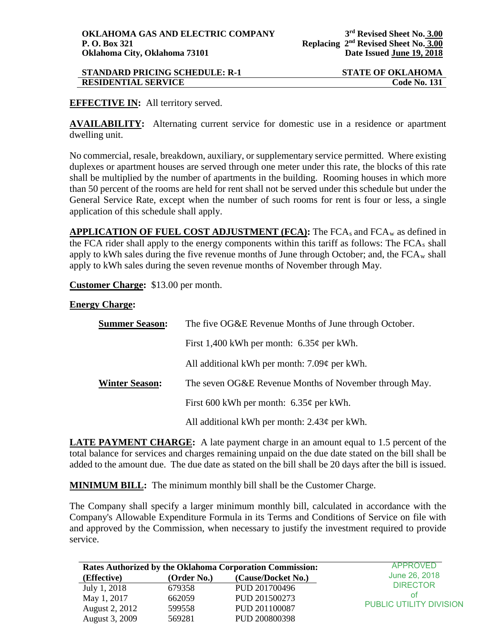## **STANDARD PRICING SCHEDULE: R-1 STATE OF OKLAHOMA**<br>**RESIDENTIAL SERVICE** Code No. 131 **RESIDENTIAL SERVICE**

## **EFFECTIVE IN:** All territory served.

**AVAILABILITY:** Alternating current service for domestic use in a residence or apartment dwelling unit.

No commercial, resale, breakdown, auxiliary, or supplementary service permitted. Where existing duplexes or apartment houses are served through one meter under this rate, the blocks of this rate shall be multiplied by the number of apartments in the building. Rooming houses in which more than 50 percent of the rooms are held for rent shall not be served under this schedule but under the General Service Rate, except when the number of such rooms for rent is four or less, a single application of this schedule shall apply.

**APPLICATION OF FUEL COST ADJUSTMENT (FCA): The FCA<sub>s</sub> and FCA<sub>w</sub> as defined in** the FCA rider shall apply to the energy components within this tariff as follows: The  $FCA<sub>s</sub>$  shall apply to kWh sales during the five revenue months of June through October; and, the  $FCA_w$  shall apply to kWh sales during the seven revenue months of November through May.

**Customer Charge:** \$13.00 per month.

## **Energy Charge:**

| <b>Summer Season:</b> | The five OG&E Revenue Months of June through October.  |  |  |
|-----------------------|--------------------------------------------------------|--|--|
|                       | First 1,400 kWh per month: $6.35¢$ per kWh.            |  |  |
|                       | All additional kWh per month: $7.09¢$ per kWh.         |  |  |
| <b>Winter Season:</b> | The seven OG&E Revenue Months of November through May. |  |  |
|                       | First 600 kWh per month: $6.35\phi$ per kWh.           |  |  |
|                       | All additional kWh per month: $2.43¢$ per kWh.         |  |  |

**LATE PAYMENT CHARGE:** A late payment charge in an amount equal to 1.5 percent of the total balance for services and charges remaining unpaid on the due date stated on the bill shall be added to the amount due. The due date as stated on the bill shall be 20 days after the bill is issued.

**MINIMUM BILL:** The minimum monthly bill shall be the Customer Charge.

The Company shall specify a larger minimum monthly bill, calculated in accordance with the Company's Allowable Expenditure Formula in its Terms and Conditions of Service on file with and approved by the Commission, when necessary to justify the investment required to provide service.

|                | <b>Rates Authorized by the Oklahoma Corporation Commission:</b> | APPROVED           |                                |
|----------------|-----------------------------------------------------------------|--------------------|--------------------------------|
| (Effective)    | (Order No.)                                                     | (Cause/Docket No.) | June 26, 2018                  |
| July 1, 2018   | 679358                                                          | PUD 201700496      | <b>DIRECTOR</b>                |
| May 1, 2017    | 662059                                                          | PUD 201500273      | οt                             |
| August 2, 2012 | 599558                                                          | PUD 201100087      | <b>PUBLIC UTILITY DIVISION</b> |
| August 3, 2009 | 569281                                                          | PUD 200800398      |                                |